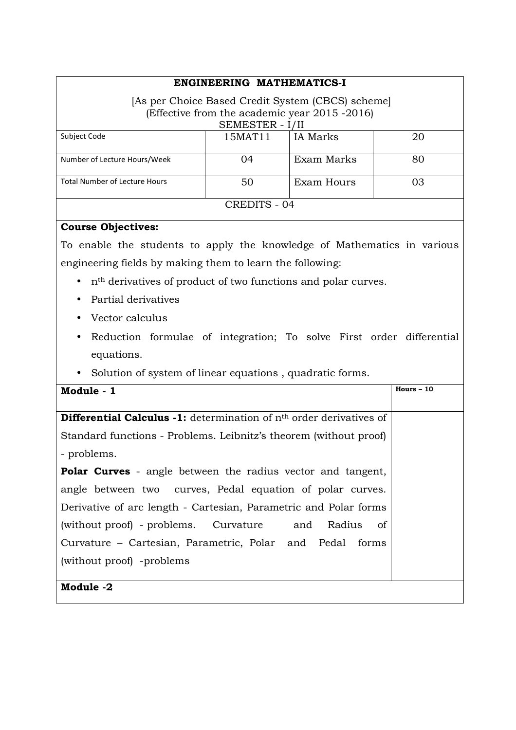# **ENGINEERING MATHEMATICS-I**

# [As per Choice Based Credit System (CBCS) scheme] (Effective from the academic year 2015 -2016) SEMESTER - I/II

| Subject Code                         | 15MAT11 | IA Marks   | 20 |  |  |
|--------------------------------------|---------|------------|----|--|--|
| Number of Lecture Hours/Week         | (1)4    | Exam Marks | 80 |  |  |
| <b>Total Number of Lecture Hours</b> | 50      | Exam Hours | 03 |  |  |
| <b>CREDITS - 04</b>                  |         |            |    |  |  |

#### **Course Objectives:**

To enable the students to apply the knowledge of Mathematics in various engineering fields by making them to learn the following:

- nth derivatives of product of two functions and polar curves.
- Partial derivatives
- Vector calculus
- Reduction formulae of integration; To solve First order differential equations.
- Solution of system of linear equations , quadratic forms.

| Module - 1                                                                   | $Hours - 10$ |
|------------------------------------------------------------------------------|--------------|
|                                                                              |              |
| <b>Differential Calculus -1:</b> determination of $nth$ order derivatives of |              |
| Standard functions - Problems. Leibnitz's theorem (without proof)            |              |
| - problems.                                                                  |              |
| <b>Polar Curves</b> - angle between the radius vector and tangent,           |              |
| angle between two curves, Pedal equation of polar curves.                    |              |
| Derivative of arc length - Cartesian, Parametric and Polar forms             |              |
| (without proof) - problems. Curvature and Radius<br>of                       |              |
| Curvature – Cartesian, Parametric, Polar and Pedal forms                     |              |
| (without proof) -problems                                                    |              |
|                                                                              |              |
| Module -2                                                                    |              |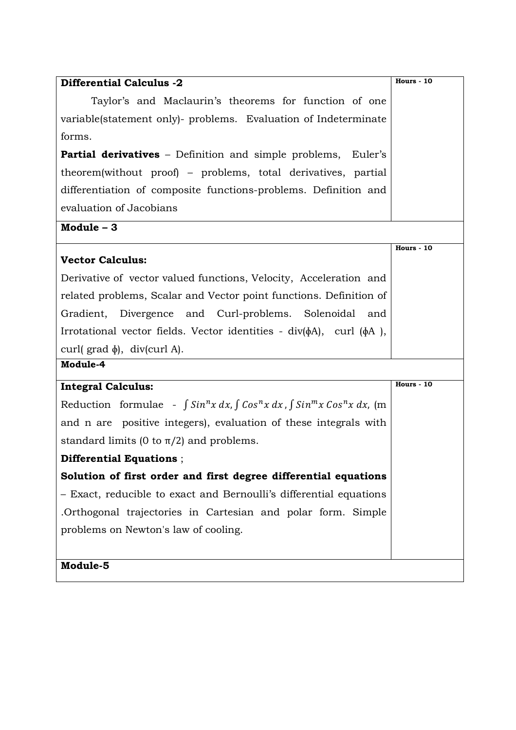| <b>Differential Calculus -2</b>                                                                          | Hours - 10        |
|----------------------------------------------------------------------------------------------------------|-------------------|
| Taylor's and Maclaurin's theorems for function of one                                                    |                   |
| variable(statement only)- problems. Evaluation of Indeterminate                                          |                   |
| forms.                                                                                                   |                   |
| <b>Partial derivatives</b> – Definition and simple problems, Euler's                                     |                   |
| theorem(without proof) – problems, total derivatives, partial                                            |                   |
| differentiation of composite functions-problems. Definition and                                          |                   |
| evaluation of Jacobians                                                                                  |                   |
| Module $-3$                                                                                              |                   |
| <b>Vector Calculus:</b>                                                                                  | Hours - 10        |
| Derivative of vector valued functions, Velocity, Acceleration and                                        |                   |
| related problems, Scalar and Vector point functions. Definition of                                       |                   |
| Gradient, Divergence and Curl-problems. Solenoidal and                                                   |                   |
| Irrotational vector fields. Vector identities - $div(\phi A)$ , curl $(\phi A)$ ,                        |                   |
| curl(grad $\phi$ ), div(curl A).                                                                         |                   |
| Module-4                                                                                                 |                   |
| <b>Integral Calculus:</b>                                                                                | <b>Hours - 10</b> |
| Reduction formulae - $\int \sin^n x \, dx$ , $\int \cos^n x \, dx$ , $\int \sin^m x \cos^n x \, dx$ , (m |                   |
| and n are positive integers), evaluation of these integrals with                                         |                   |
| standard limits (0 to $\pi/2$ ) and problems.                                                            |                   |
| Differential Equations;                                                                                  |                   |
| Solution of first order and first degree differential equations                                          |                   |
| - Exact, reducible to exact and Bernoulli's differential equations                                       |                   |
| Orthogonal trajectories in Cartesian and polar form. Simple                                              |                   |
| problems on Newton's law of cooling.                                                                     |                   |
|                                                                                                          |                   |
| Module-5                                                                                                 |                   |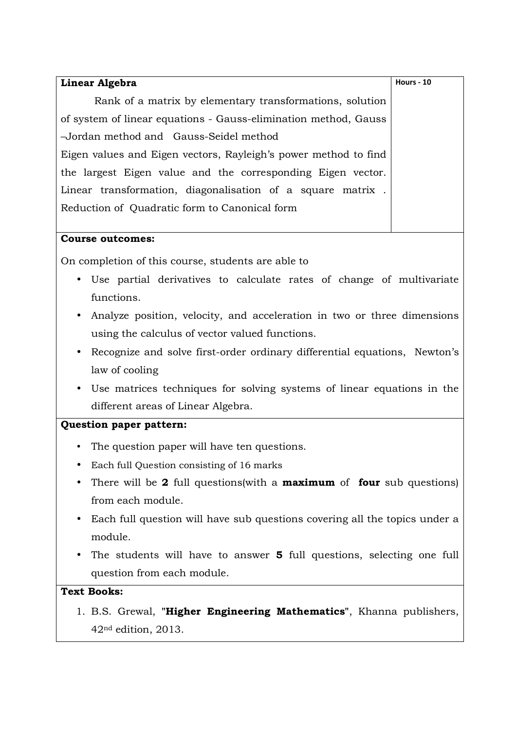| Linear Algebra                                                  | <b>Hours - 10</b> |
|-----------------------------------------------------------------|-------------------|
| Rank of a matrix by elementary transformations, solution        |                   |
| of system of linear equations - Gauss-elimination method, Gauss |                   |
| -Jordan method and Gauss-Seidel method                          |                   |
| Eigen values and Eigen vectors, Rayleigh's power method to find |                   |
| the largest Eigen value and the corresponding Eigen vector.     |                   |
| Linear transformation, diagonalisation of a square matrix.      |                   |
| Reduction of Quadratic form to Canonical form                   |                   |
|                                                                 |                   |

### **Course outcomes:**

On completion of this course, students are able to

- Use partial derivatives to calculate rates of change of multivariate functions.
- Analyze position, velocity, and acceleration in two or three dimensions using the calculus of vector valued functions.
- Recognize and solve first-order ordinary differential equations, Newton's law of cooling
- Use matrices techniques for solving systems of linear equations in the different areas of Linear Algebra.

### **Question paper pattern:**

- The question paper will have ten questions.
- Each full Question consisting of 16 marks
- There will be **2** full questions(with a **maximum** of **four** sub questions) from each module.
- Each full question will have sub questions covering all the topics under a module.
- The students will have to answer **5** full questions, selecting one full question from each module.

# **Text Books:**

1. B.S. Grewal, **"Higher Engineering Mathematics"**, Khanna publishers, 42nd edition, 2013.